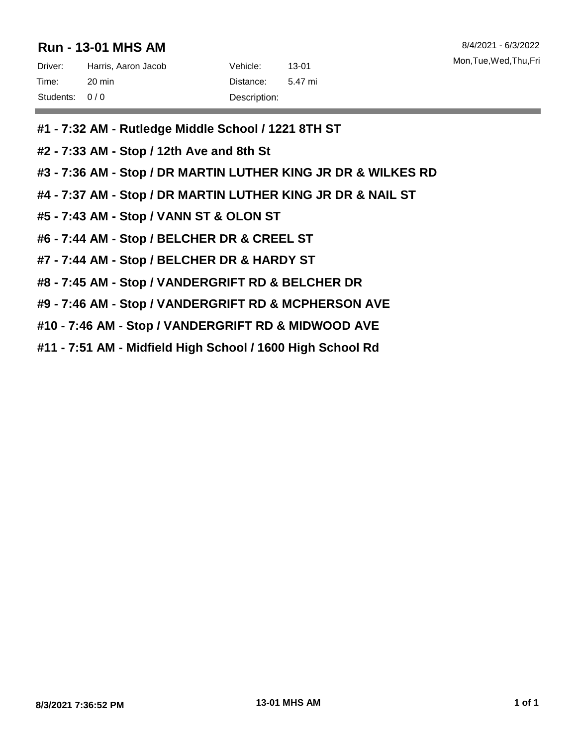# **Run - 13-01 MHS AM** 8/4/2021 - 6/3/2022

| Driver:       | Harris, Aaron Jacob | Vehicle: \   | 13-01   |
|---------------|---------------------|--------------|---------|
| Time:         | 20 min              | Distance:    | 5.47 mi |
| Students: 0/0 |                     | Description: |         |

- **#1 - 7:32 AM - Rutledge Middle School / 1221 8TH ST**
- **#2 - 7:33 AM - Stop / 12th Ave and 8th St**
- **#3 - 7:36 AM - Stop / DR MARTIN LUTHER KING JR DR & WILKES RD**
- **#4 - 7:37 AM - Stop / DR MARTIN LUTHER KING JR DR & NAIL ST**
- **#5 - 7:43 AM - Stop / VANN ST & OLON ST**
- **#6 - 7:44 AM - Stop / BELCHER DR & CREEL ST**
- **#7 - 7:44 AM - Stop / BELCHER DR & HARDY ST**
- **#8 - 7:45 AM - Stop / VANDERGRIFT RD & BELCHER DR**
- **#9 - 7:46 AM - Stop / VANDERGRIFT RD & MCPHERSON AVE**
- **#10 - 7:46 AM - Stop / VANDERGRIFT RD & MIDWOOD AVE**
- **#11 - 7:51 AM - Midfield High School / 1600 High School Rd**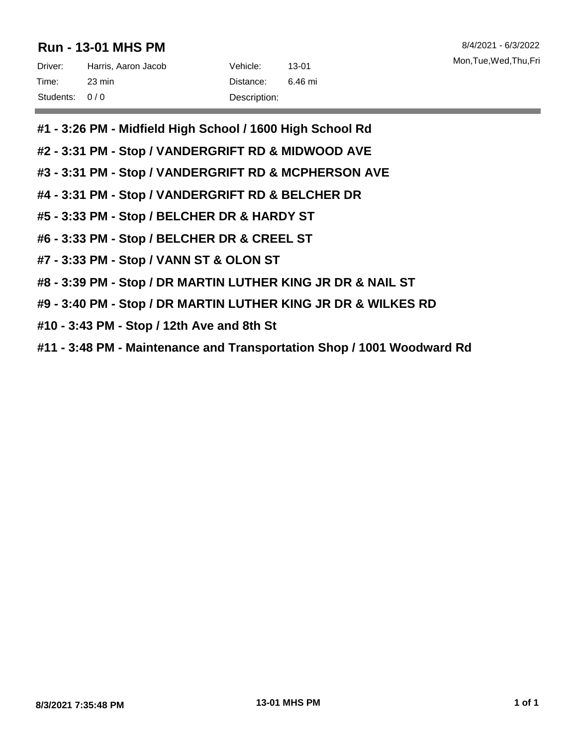# **Run - 13-01 MHS PM** 8/4/2021 - 6/3/2022

| Driver:       | Harris, Aaron Jacob | Vehicle:     | 13-01   |
|---------------|---------------------|--------------|---------|
| Time:         | 23 min              | Distance:    | 6.46 mi |
| Students: 0/0 |                     | Description: |         |

- **#1 - 3:26 PM - Midfield High School / 1600 High School Rd**
- **#2 - 3:31 PM - Stop / VANDERGRIFT RD & MIDWOOD AVE**
- **#3 - 3:31 PM - Stop / VANDERGRIFT RD & MCPHERSON AVE**
- **#4 - 3:31 PM - Stop / VANDERGRIFT RD & BELCHER DR**
- **#5 - 3:33 PM - Stop / BELCHER DR & HARDY ST**
- **#6 - 3:33 PM - Stop / BELCHER DR & CREEL ST**
- **#7 - 3:33 PM - Stop / VANN ST & OLON ST**
- **#8 - 3:39 PM - Stop / DR MARTIN LUTHER KING JR DR & NAIL ST**
- **#9 - 3:40 PM - Stop / DR MARTIN LUTHER KING JR DR & WILKES RD**
- **#10 - 3:43 PM - Stop / 12th Ave and 8th St**
- **#11 - 3:48 PM - Maintenance and Transportation Shop / 1001 Woodward Rd**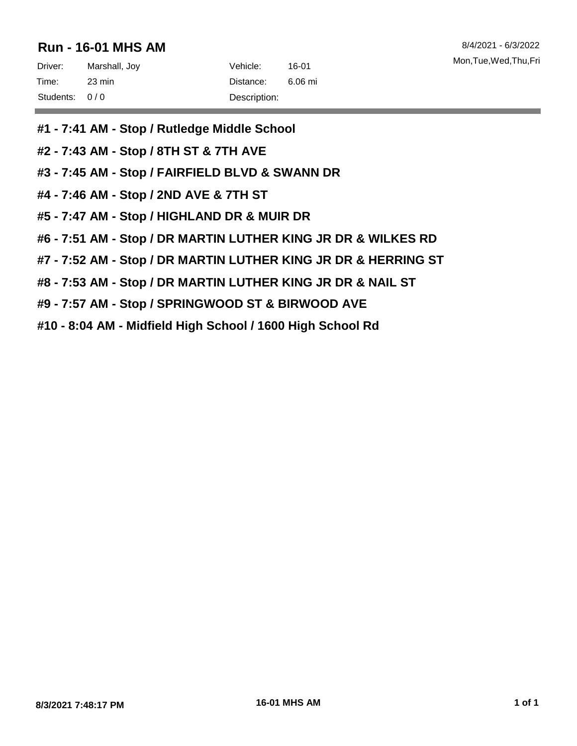## **Run - 16-01 MHS AM** 8/4/2021 - 6/3/2022

| Driver:       | Marshall, Joy | Vehicle:     | 16-01   |
|---------------|---------------|--------------|---------|
| Time:         | 23 min        | Distance:    | 6.06 mi |
| Students: 0/0 |               | Description: |         |

- **#1 - 7:41 AM - Stop / Rutledge Middle School**
- **#2 - 7:43 AM - Stop / 8TH ST & 7TH AVE**
- **#3 - 7:45 AM - Stop / FAIRFIELD BLVD & SWANN DR**
- **#4 - 7:46 AM - Stop / 2ND AVE & 7TH ST**
- **#5 - 7:47 AM - Stop / HIGHLAND DR & MUIR DR**
- **#6 - 7:51 AM - Stop / DR MARTIN LUTHER KING JR DR & WILKES RD**
- **#7 - 7:52 AM - Stop / DR MARTIN LUTHER KING JR DR & HERRING ST**
- **#8 - 7:53 AM - Stop / DR MARTIN LUTHER KING JR DR & NAIL ST**
- **#9 - 7:57 AM - Stop / SPRINGWOOD ST & BIRWOOD AVE**
- **#10 - 8:04 AM - Midfield High School / 1600 High School Rd**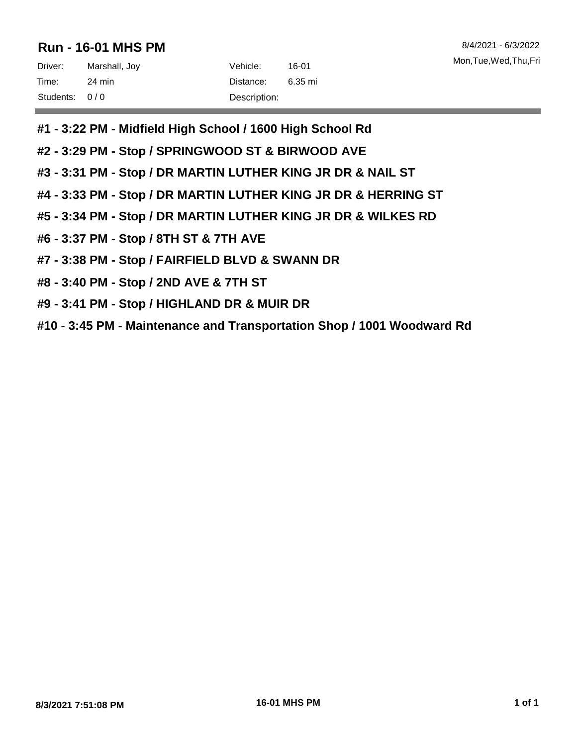## **Run - 16-01 MHS PM** 8/4/2021 - 6/3/2022

| Driver:       | Marshall, Joy | Vehicle:     | 16-01   |
|---------------|---------------|--------------|---------|
| Time:         | 24 min        | Distance:    | 6.35 mi |
| Students: 0/0 |               | Description: |         |

- **#1 - 3:22 PM - Midfield High School / 1600 High School Rd**
- **#2 - 3:29 PM - Stop / SPRINGWOOD ST & BIRWOOD AVE**
- **#3 - 3:31 PM - Stop / DR MARTIN LUTHER KING JR DR & NAIL ST**
- **#4 - 3:33 PM - Stop / DR MARTIN LUTHER KING JR DR & HERRING ST**
- **#5 - 3:34 PM - Stop / DR MARTIN LUTHER KING JR DR & WILKES RD**
- **#6 - 3:37 PM - Stop / 8TH ST & 7TH AVE**
- **#7 - 3:38 PM - Stop / FAIRFIELD BLVD & SWANN DR**
- **#8 - 3:40 PM - Stop / 2ND AVE & 7TH ST**
- **#9 - 3:41 PM - Stop / HIGHLAND DR & MUIR DR**
- **#10 - 3:45 PM - Maintenance and Transportation Shop / 1001 Woodward Rd**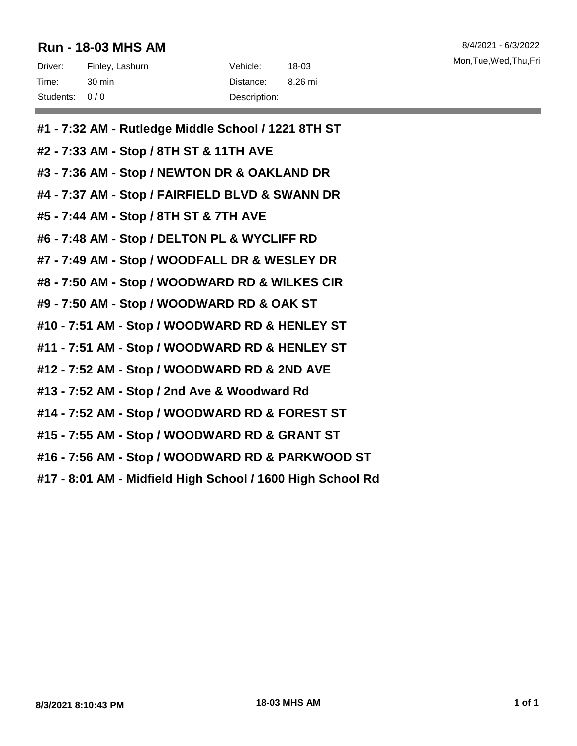# **Run - 18-03 MHS AM** 8/4/2021 - 6/3/2022

| Driver:       | Finley, Lashurn | Vehicle: \   | 18-03   |
|---------------|-----------------|--------------|---------|
| Time:         | -30 min         | Distance:    | 8.26 mi |
| Students: 0/0 |                 | Description: |         |

- **#1 - 7:32 AM - Rutledge Middle School / 1221 8TH ST**
- **#2 - 7:33 AM - Stop / 8TH ST & 11TH AVE**
- **#3 - 7:36 AM - Stop / NEWTON DR & OAKLAND DR**
- **#4 - 7:37 AM - Stop / FAIRFIELD BLVD & SWANN DR**
- **#5 - 7:44 AM - Stop / 8TH ST & 7TH AVE**
- **#6 - 7:48 AM - Stop / DELTON PL & WYCLIFF RD**
- **#7 - 7:49 AM - Stop / WOODFALL DR & WESLEY DR**
- **#8 - 7:50 AM - Stop / WOODWARD RD & WILKES CIR**
- **#9 - 7:50 AM - Stop / WOODWARD RD & OAK ST**
- **#10 - 7:51 AM - Stop / WOODWARD RD & HENLEY ST**
- **#11 - 7:51 AM - Stop / WOODWARD RD & HENLEY ST**
- **#12 - 7:52 AM - Stop / WOODWARD RD & 2ND AVE**
- **#13 - 7:52 AM - Stop / 2nd Ave & Woodward Rd**
- **#14 - 7:52 AM - Stop / WOODWARD RD & FOREST ST**
- **#15 - 7:55 AM - Stop / WOODWARD RD & GRANT ST**
- **#16 - 7:56 AM - Stop / WOODWARD RD & PARKWOOD ST**
- **#17 - 8:01 AM - Midfield High School / 1600 High School Rd**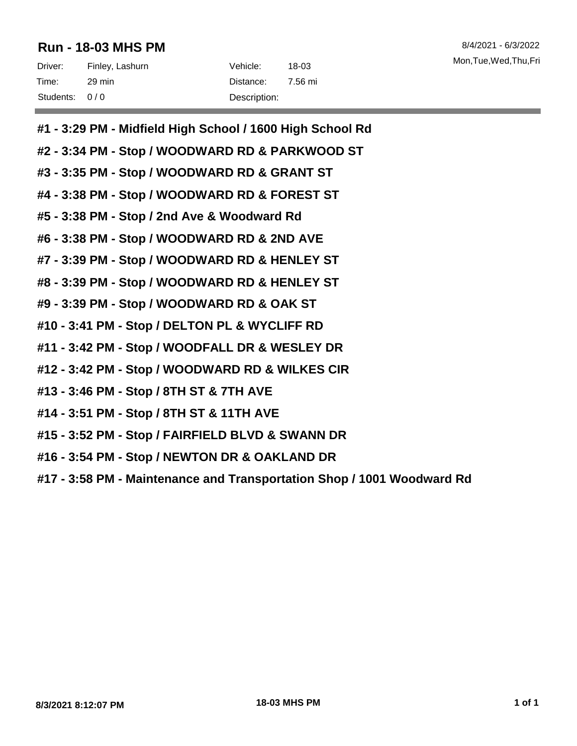# **Run - 18-03 MHS PM** 8/4/2021 - 6/3/2022

| Driver:       | Finley, Lashurn | Vehicle:     | 18-03   |
|---------------|-----------------|--------------|---------|
| Time:         | 29 min          | Distance:    | 7.56 mi |
| Students: 0/0 |                 | Description: |         |

- **#1 - 3:29 PM - Midfield High School / 1600 High School Rd**
- **#2 - 3:34 PM - Stop / WOODWARD RD & PARKWOOD ST**
- **#3 - 3:35 PM - Stop / WOODWARD RD & GRANT ST**
- **#4 - 3:38 PM - Stop / WOODWARD RD & FOREST ST**
- **#5 - 3:38 PM - Stop / 2nd Ave & Woodward Rd**
- **#6 - 3:38 PM - Stop / WOODWARD RD & 2ND AVE**
- **#7 - 3:39 PM - Stop / WOODWARD RD & HENLEY ST**
- **#8 - 3:39 PM - Stop / WOODWARD RD & HENLEY ST**
- **#9 - 3:39 PM - Stop / WOODWARD RD & OAK ST**
- **#10 - 3:41 PM - Stop / DELTON PL & WYCLIFF RD**
- **#11 - 3:42 PM - Stop / WOODFALL DR & WESLEY DR**
- **#12 - 3:42 PM - Stop / WOODWARD RD & WILKES CIR**
- **#13 - 3:46 PM - Stop / 8TH ST & 7TH AVE**
- **#14 - 3:51 PM - Stop / 8TH ST & 11TH AVE**
- **#15 - 3:52 PM - Stop / FAIRFIELD BLVD & SWANN DR**
- **#16 - 3:54 PM - Stop / NEWTON DR & OAKLAND DR**
- **#17 - 3:58 PM - Maintenance and Transportation Shop / 1001 Woodward Rd**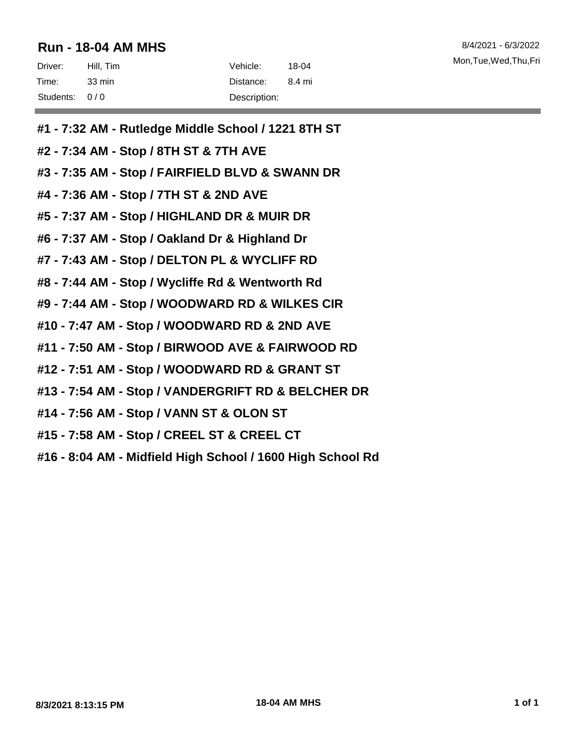#### **Run - 18-04 AM MHS** 8/4/2021 - 6/3/2022

| Driver:       | Hill, Tim | Vehicle: .   | 18-04  | Mon,Tue,Wed, |
|---------------|-----------|--------------|--------|--------------|
| Time:         | 33 min    | Distance:    | 8.4 mi |              |
| Students: 0/0 |           | Description: |        |              |

- **#1 - 7:32 AM - Rutledge Middle School / 1221 8TH ST**
- **#2 - 7:34 AM - Stop / 8TH ST & 7TH AVE**
- **#3 - 7:35 AM - Stop / FAIRFIELD BLVD & SWANN DR**
- **#4 - 7:36 AM - Stop / 7TH ST & 2ND AVE**
- **#5 - 7:37 AM - Stop / HIGHLAND DR & MUIR DR**
- **#6 - 7:37 AM - Stop / Oakland Dr & Highland Dr**
- **#7 - 7:43 AM - Stop / DELTON PL & WYCLIFF RD**
- **#8 - 7:44 AM - Stop / Wycliffe Rd & Wentworth Rd**
- **#9 - 7:44 AM - Stop / WOODWARD RD & WILKES CIR**
- **#10 - 7:47 AM - Stop / WOODWARD RD & 2ND AVE**
- **#11 - 7:50 AM - Stop / BIRWOOD AVE & FAIRWOOD RD**
- **#12 - 7:51 AM - Stop / WOODWARD RD & GRANT ST**
- **#13 - 7:54 AM - Stop / VANDERGRIFT RD & BELCHER DR**
- **#14 - 7:56 AM - Stop / VANN ST & OLON ST**
- **#15 - 7:58 AM - Stop / CREEL ST & CREEL CT**
- **#16 - 8:04 AM - Midfield High School / 1600 High School Rd**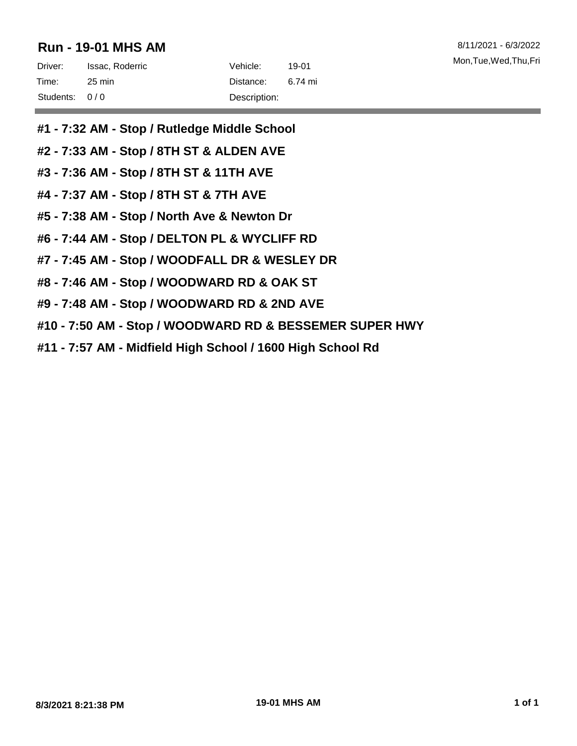# **Run - 19-01 MHS AM** 8/11/2021 - 6/3/2022

- **#1 - 7:32 AM - Stop / Rutledge Middle School**
- **#2 - 7:33 AM - Stop / 8TH ST & ALDEN AVE**
- **#3 - 7:36 AM - Stop / 8TH ST & 11TH AVE**
- **#4 - 7:37 AM - Stop / 8TH ST & 7TH AVE**
- **#5 - 7:38 AM - Stop / North Ave & Newton Dr**
- **#6 - 7:44 AM - Stop / DELTON PL & WYCLIFF RD**
- **#7 - 7:45 AM - Stop / WOODFALL DR & WESLEY DR**
- **#8 - 7:46 AM - Stop / WOODWARD RD & OAK ST**
- **#9 - 7:48 AM - Stop / WOODWARD RD & 2ND AVE**
- **#10 - 7:50 AM - Stop / WOODWARD RD & BESSEMER SUPER HWY**
- **#11 - 7:57 AM - Midfield High School / 1600 High School Rd**